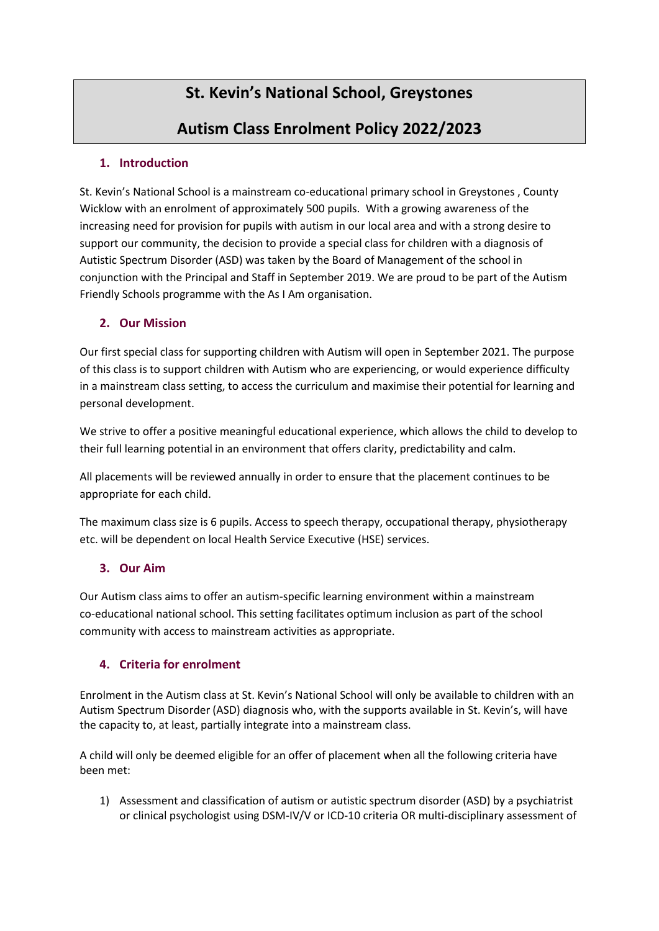# **St. Kevin's National School, Greystones**

## **Autism Class Enrolment Policy 2022/2023**

### **1. Introduction**

St. Kevin's National School is a mainstream co-educational primary school in Greystones , County Wicklow with an enrolment of approximately 500 pupils. With a growing awareness of the increasing need for provision for pupils with autism in our local area and with a strong desire to support our community, the decision to provide a special class for children with a diagnosis of Autistic Spectrum Disorder (ASD) was taken by the Board of Management of the school in conjunction with the Principal and Staff in September 2019. We are proud to be part of the Autism Friendly Schools programme with the As I Am organisation.

#### **2. Our Mission**

Our first special class for supporting children with Autism will open in September 2021. The purpose of this class is to support children with Autism who are experiencing, or would experience difficulty in a mainstream class setting, to access the curriculum and maximise their potential for learning and personal development.

We strive to offer a positive meaningful educational experience, which allows the child to develop to their full learning potential in an environment that offers clarity, predictability and calm.

All placements will be reviewed annually in order to ensure that the placement continues to be appropriate for each child.

The maximum class size is 6 pupils. Access to speech therapy, occupational therapy, physiotherapy etc. will be dependent on local Health Service Executive (HSE) services.

## **3. Our Aim**

Our Autism class aims to offer an autism-specific learning environment within a mainstream co-educational national school. This setting facilitates optimum inclusion as part of the school community with access to mainstream activities as appropriate.

## **4. Criteria for enrolment**

Enrolment in the Autism class at St. Kevin's National School will only be available to children with an Autism Spectrum Disorder (ASD) diagnosis who, with the supports available in St. Kevin's, will have the capacity to, at least, partially integrate into a mainstream class.

A child will only be deemed eligible for an offer of placement when all the following criteria have been met:

1) Assessment and classification of autism or autistic spectrum disorder (ASD) by a psychiatrist or clinical psychologist using DSM-IV/V or ICD-10 criteria OR multi-disciplinary assessment of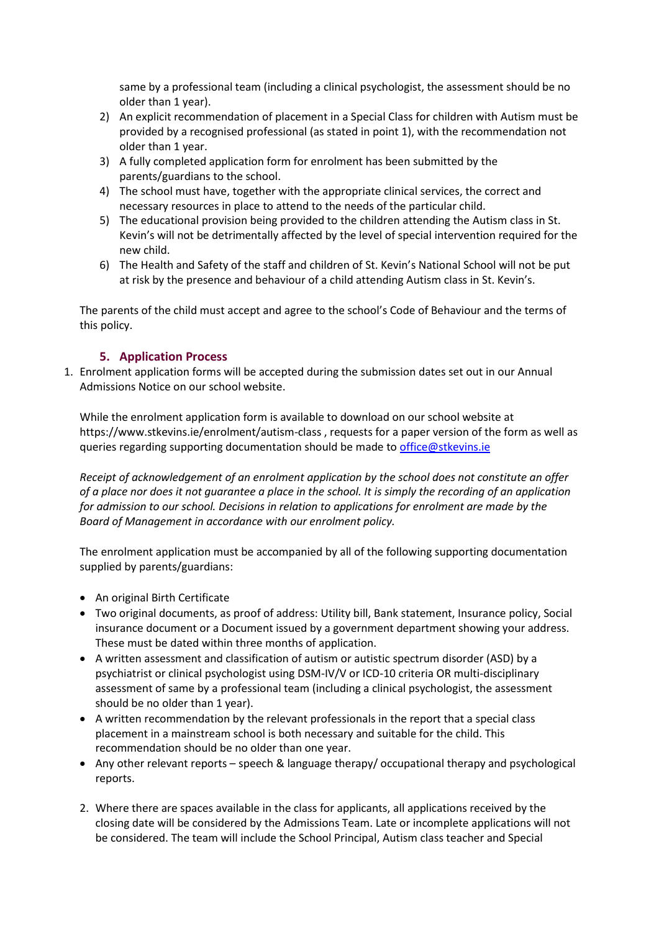same by a professional team (including a clinical psychologist, the assessment should be no older than 1 year).

- 2) An explicit recommendation of placement in a Special Class for children with Autism must be provided by a recognised professional (as stated in point 1), with the recommendation not older than 1 year.
- 3) A fully completed application form for enrolment has been submitted by the parents/guardians to the school.
- 4) The school must have, together with the appropriate clinical services, the correct and necessary resources in place to attend to the needs of the particular child.
- 5) The educational provision being provided to the children attending the Autism class in St. Kevin's will not be detrimentally affected by the level of special intervention required for the new child.
- 6) The Health and Safety of the staff and children of St. Kevin's National School will not be put at risk by the presence and behaviour of a child attending Autism class in St. Kevin's.

The parents of the child must accept and agree to the school's Code of Behaviour and the terms of this policy.

#### **5. Application Process**

1. Enrolment application forms will be accepted during the submission dates set out in our Annual Admissions Notice on our school website.

While the enrolment application form is available to download on our school website at https://www.stkevins.ie/enrolment/autism-class , requests for a paper version of the form as well as queries regarding supporting documentation should be made to [office@stkevins.ie](mailto:office@stkevins.ie)

*Receipt of acknowledgement of an enrolment application by the school does not constitute an offer of a place nor does it not guarantee a place in the school. It is simply the recording of an application for admission to our school. Decisions in relation to applications for enrolment are made by the Board of Management in accordance with our enrolment policy.* 

The enrolment application must be accompanied by all of the following supporting documentation supplied by parents/guardians:

- An original Birth Certificate
- Two original documents, as proof of address: Utility bill, Bank statement, Insurance policy, Social insurance document or a Document issued by a government department showing your address. These must be dated within three months of application.
- A written assessment and classification of autism or autistic spectrum disorder (ASD) by a psychiatrist or clinical psychologist using DSM-IV/V or ICD-10 criteria OR multi-disciplinary assessment of same by a professional team (including a clinical psychologist, the assessment should be no older than 1 year).
- A written recommendation by the relevant professionals in the report that a special class placement in a mainstream school is both necessary and suitable for the child. This recommendation should be no older than one year.
- Any other relevant reports speech & language therapy/ occupational therapy and psychological reports.
- 2. Where there are spaces available in the class for applicants, all applications received by the closing date will be considered by the Admissions Team. Late or incomplete applications will not be considered. The team will include the School Principal, Autism class teacher and Special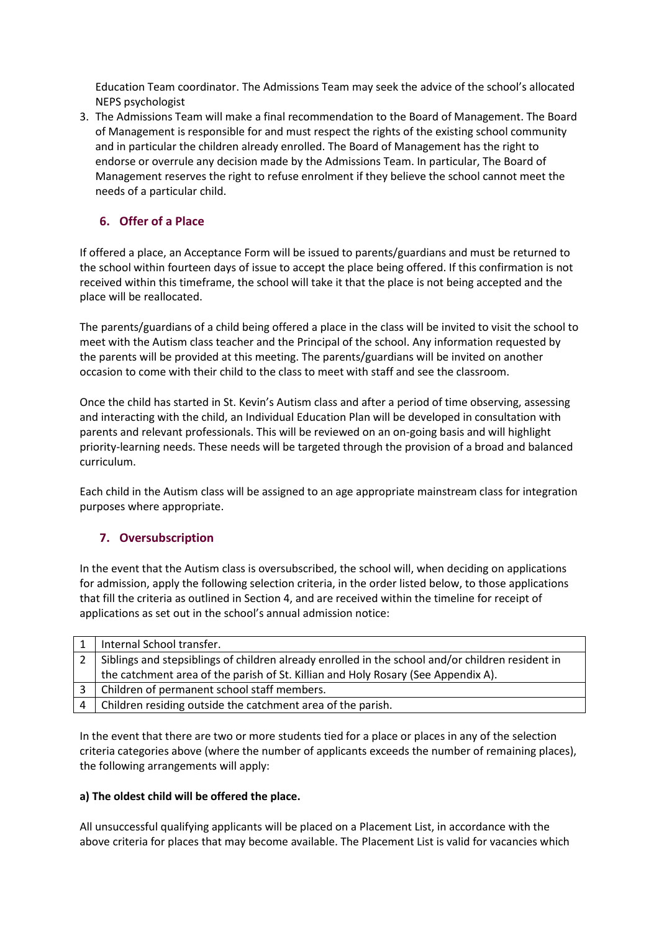Education Team coordinator. The Admissions Team may seek the advice of the school's allocated NEPS psychologist

3. The Admissions Team will make a final recommendation to the Board of Management. The Board of Management is responsible for and must respect the rights of the existing school community and in particular the children already enrolled. The Board of Management has the right to endorse or overrule any decision made by the Admissions Team. In particular, The Board of Management reserves the right to refuse enrolment if they believe the school cannot meet the needs of a particular child.

## **6. Offer of a Place**

If offered a place, an Acceptance Form will be issued to parents/guardians and must be returned to the school within fourteen days of issue to accept the place being offered. If this confirmation is not received within this timeframe, the school will take it that the place is not being accepted and the place will be reallocated.

The parents/guardians of a child being offered a place in the class will be invited to visit the school to meet with the Autism class teacher and the Principal of the school. Any information requested by the parents will be provided at this meeting. The parents/guardians will be invited on another occasion to come with their child to the class to meet with staff and see the classroom.

Once the child has started in St. Kevin's Autism class and after a period of time observing, assessing and interacting with the child, an Individual Education Plan will be developed in consultation with parents and relevant professionals. This will be reviewed on an on-going basis and will highlight priority-learning needs. These needs will be targeted through the provision of a broad and balanced curriculum.

Each child in the Autism class will be assigned to an age appropriate mainstream class for integration purposes where appropriate.

## **7. Oversubscription**

In the event that the Autism class is oversubscribed, the school will, when deciding on applications for admission, apply the following selection criteria, in the order listed below, to those applications that fill the criteria as outlined in Section 4, and are received within the timeline for receipt of applications as set out in the school's annual admission notice:

|   | Internal School transfer.                                                                        |
|---|--------------------------------------------------------------------------------------------------|
|   | Siblings and stepsiblings of children already enrolled in the school and/or children resident in |
|   | the catchment area of the parish of St. Killian and Holy Rosary (See Appendix A).                |
|   | Children of permanent school staff members.                                                      |
| 4 | Children residing outside the catchment area of the parish.                                      |
|   |                                                                                                  |

In the event that there are two or more students tied for a place or places in any of the selection criteria categories above (where the number of applicants exceeds the number of remaining places), the following arrangements will apply:

#### **a) The oldest child will be offered the place.**

All unsuccessful qualifying applicants will be placed on a Placement List, in accordance with the above criteria for places that may become available. The Placement List is valid for vacancies which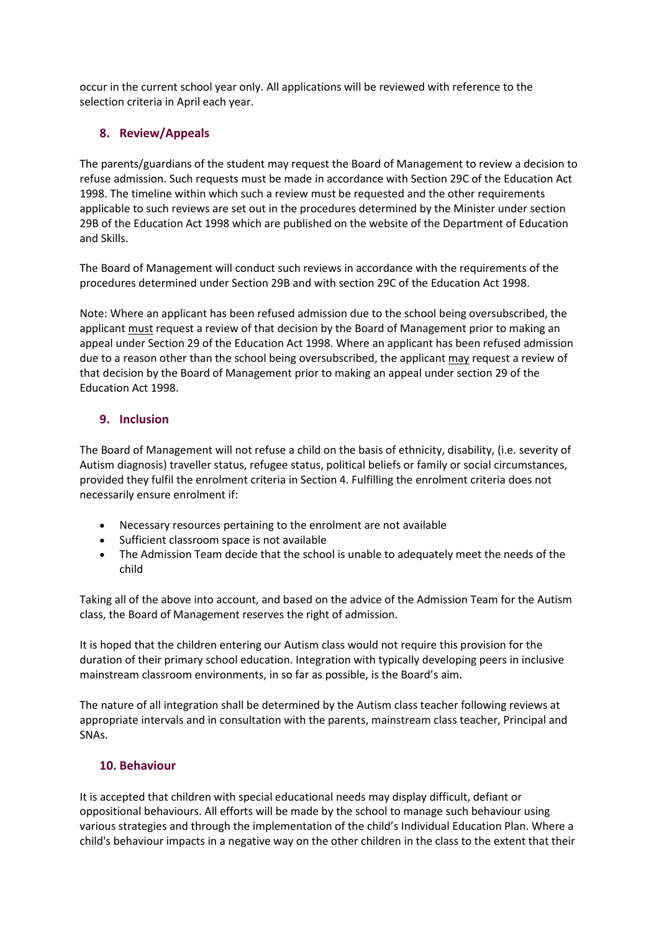occur in the current school year only. All applications will be reviewed with reference to the selection criteria in April each year.

### **8. Review/Appeals**

The parents/guardians of the student may request the Board of Management to review a decision to refuse admission. Such requests must be made in accordance with Section 29C of the Education Act 1998. The timeline within which such a review must be requested and the other requirements applicable to such reviews are set out in the procedures determined by the Minister under section 29B of the Education Act 1998 which are published on the website of the Department of Education and Skills.

The Board of Management will conduct such reviews in accordance with the requirements of the procedures determined under Section 29B and with section 29C of the Education Act 1998.

Note: Where an applicant has been refused admission due to the school being oversubscribed, the applicant must request a review of that decision by the Board of Management prior to making an appeal under Section 29 of the Education Act 1998. Where an applicant has been refused admission due to a reason other than the school being oversubscribed, the applicant may request a review of that decision by the Board of Management prior to making an appeal under section 29 of the Education Act 1998.

#### **9. Inclusion**

The Board of Management will not refuse a child on the basis of ethnicity, disability, (i.e. severity of Autism diagnosis) traveller status, refugee status, political beliefs or family or social circumstances, provided they fulfil the enrolment criteria in Section 4. Fulfilling the enrolment criteria does not necessarily ensure enrolment if:

- Necessary resources pertaining to the enrolment are not available
- Sufficient classroom space is not available
- The Admission Team decide that the school is unable to adequately meet the needs of the child

Taking all of the above into account, and based on the advice of the Admission Team for the Autism class, the Board of Management reserves the right of admission.

It is hoped that the children entering our Autism class would not require this provision for the duration of their primary school education. Integration with typically developing peers in inclusive mainstream classroom environments, in so far as possible, is the Board's aim.

The nature of all integration shall be determined by the Autism class teacher following reviews at appropriate intervals and in consultation with the parents, mainstream class teacher, Principal and SNAs.

#### **10. Behaviour**

It is accepted that children with special educational needs may display difficult, defiant or oppositional behaviours. All efforts will be made by the school to manage such behaviour using various strategies and through the implementation of the child's Individual Education Plan. Where a child's behaviour impacts in a negative way on the other children in the class to the extent that their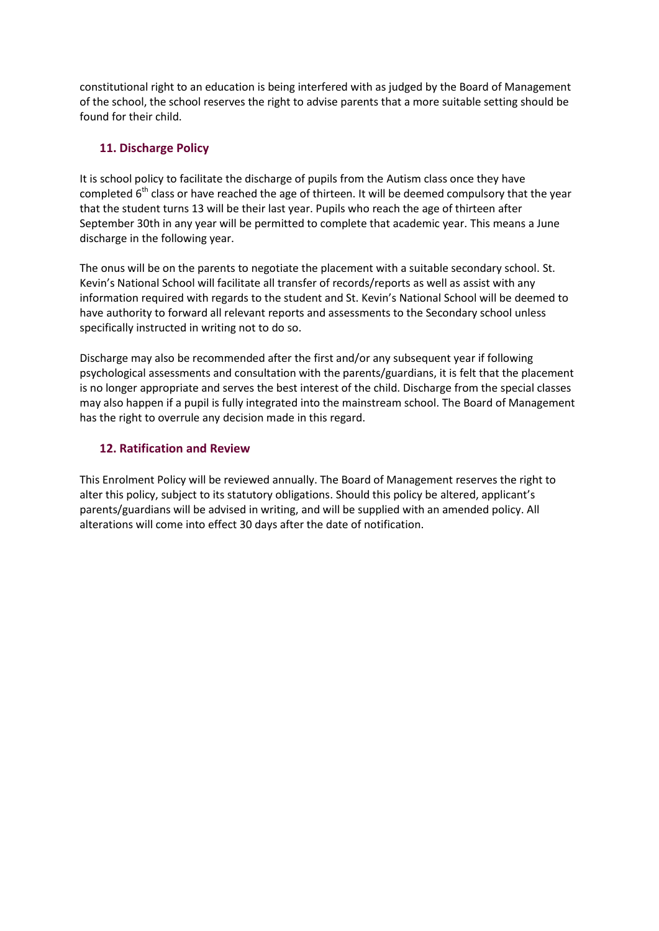constitutional right to an education is being interfered with as judged by the Board of Management of the school, the school reserves the right to advise parents that a more suitable setting should be found for their child.

### **11. Discharge Policy**

It is school policy to facilitate the discharge of pupils from the Autism class once they have completed  $6<sup>th</sup>$  class or have reached the age of thirteen. It will be deemed compulsory that the year that the student turns 13 will be their last year. Pupils who reach the age of thirteen after September 30th in any year will be permitted to complete that academic year. This means a June discharge in the following year.

The onus will be on the parents to negotiate the placement with a suitable secondary school. St. Kevin's National School will facilitate all transfer of records/reports as well as assist with any information required with regards to the student and St. Kevin's National School will be deemed to have authority to forward all relevant reports and assessments to the Secondary school unless specifically instructed in writing not to do so.

Discharge may also be recommended after the first and/or any subsequent year if following psychological assessments and consultation with the parents/guardians, it is felt that the placement is no longer appropriate and serves the best interest of the child. Discharge from the special classes may also happen if a pupil is fully integrated into the mainstream school. The Board of Management has the right to overrule any decision made in this regard.

#### **12. Ratification and Review**

This Enrolment Policy will be reviewed annually. The Board of Management reserves the right to alter this policy, subject to its statutory obligations. Should this policy be altered, applicant's parents/guardians will be advised in writing, and will be supplied with an amended policy. All alterations will come into effect 30 days after the date of notification.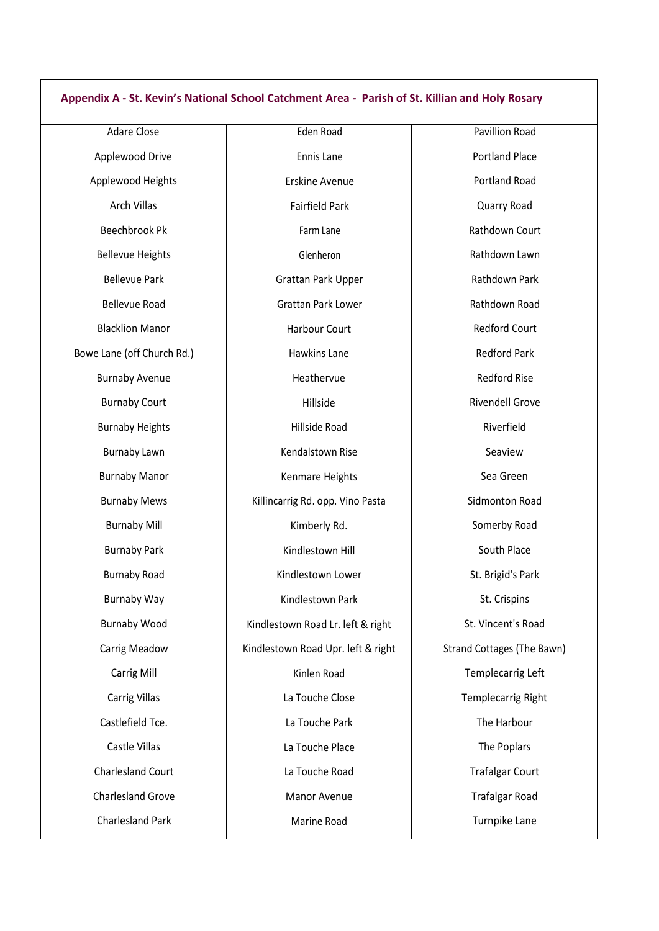#### **Appendix A - St. Kevin's National School Catchment Area - Parish of St. Killian and Holy Rosary**

Adare Close Applewood Drive Applewood Heights Arch Villas Beechbrook Pk Bellevue Heights Bellevue Park Bellevue Road Blacklion Manor Bowe Lane (off Church Rd.) Burnaby Avenue Burnaby Court Burnaby Heights Burnaby Lawn Burnaby Manor Burnaby Mews Burnaby Mill Burnaby Park Burnaby Road Burnaby Way Burnaby Wood Carrig Meadow Carrig Mill Carrig Villas Castlefield Tce. Castle Villas Charlesland Court Charlesland Grove Charlesland Park

Eden Road Ennis Lane Erskine Avenue Fairfield Park Farm Lane Glenheron Grattan Park Upper Grattan Park Lower Harbour Court Hawkins Lane Heathervue Hillside Hillside Road Kendalstown Rise Kenmare Heights Killincarrig Rd. opp. Vino Pasta Kimberly Rd. Kindlestown Hill Kindlestown Lower Kindlestown Park Kindlestown Road Lr. left & right Kindlestown Road Upr. left & right Kinlen Road La Touche Close La Touche Park La Touche Place La Touche Road Manor Avenue Marine Road

Pavillion Road Portland Place Portland Road Quarry Road Rathdown Court Rathdown Lawn Rathdown Park Rathdown Road Redford Court Redford Park Redford Rise Rivendell Grove Riverfield Seaview Sea Green Sidmonton Road Somerby Road South Place St. Brigid's Park St. Crispins St. Vincent's Road Strand Cottages (The Bawn) Templecarrig Left Templecarrig Right The Harbour The Poplars Trafalgar Court Trafalgar Road Turnpike Lane